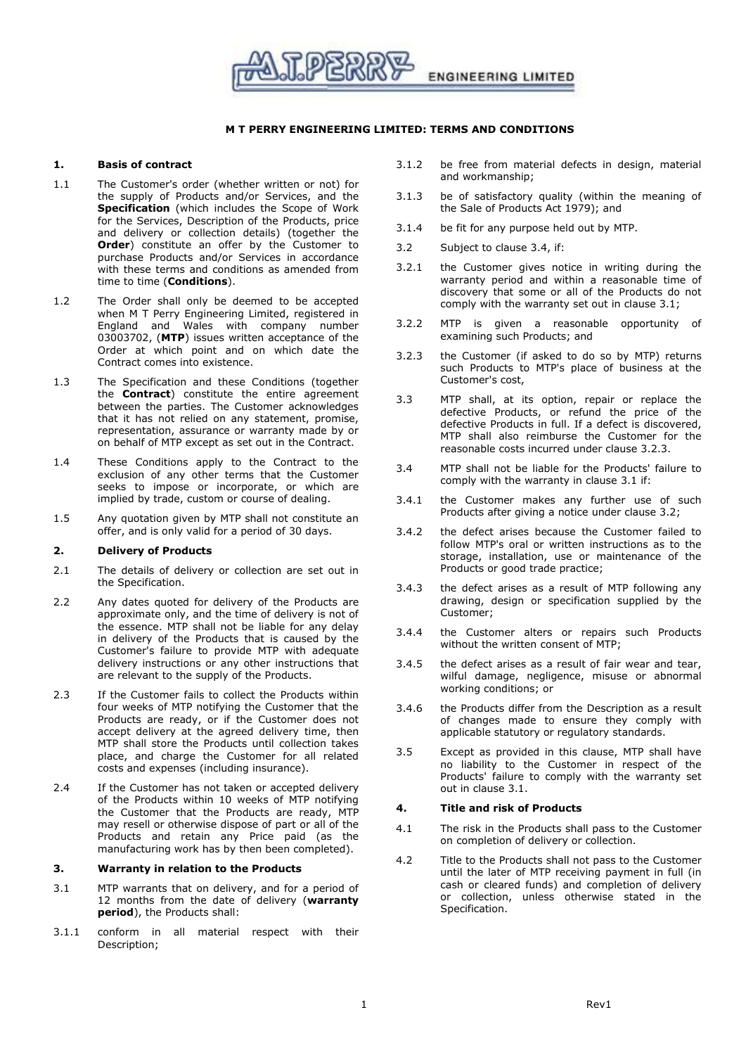

## **M T PERRY ENGINEERING LIMITED: TERMS AND CONDITIONS**

## **1. Basis of contract**

- 1.1 The Customer's order (whether written or not) for the supply of Products and/or Services, and the **Specification** (which includes the Scope of Work for the Services, Description of the Products, price and delivery or collection details) (together the **Order**) constitute an offer by the Customer to purchase Products and/or Services in accordance with these terms and conditions as amended from time to time (**Conditions**).
- 1.2 The Order shall only be deemed to be accepted when M T Perry Engineering Limited, registered in England and Wales with company number 03003702, (**MTP**) issues written acceptance of the Order at which point and on which date the Contract comes into existence.
- 1.3 The Specification and these Conditions (together the **Contract**) constitute the entire agreement between the parties. The Customer acknowledges that it has not relied on any statement, promise, representation, assurance or warranty made by or on behalf of MTP except as set out in the Contract.
- 1.4 These Conditions apply to the Contract to the exclusion of any other terms that the Customer seeks to impose or incorporate, or which are implied by trade, custom or course of dealing.
- 1.5 Any quotation given by MTP shall not constitute an offer, and is only valid for a period of 30 days.

### **2. Delivery of Products**

- 2.1 The details of delivery or collection are set out in the Specification.
- 2.2 Any dates quoted for delivery of the Products are approximate only, and the time of delivery is not of the essence. MTP shall not be liable for any delay in delivery of the Products that is caused by the Customer's failure to provide MTP with adequate delivery instructions or any other instructions that are relevant to the supply of the Products.
- 2.3 If the Customer fails to collect the Products within four weeks of MTP notifying the Customer that the Products are ready, or if the Customer does not accept delivery at the agreed delivery time, then MTP shall store the Products until collection takes place, and charge the Customer for all related costs and expenses (including insurance).
- 2.4 If the Customer has not taken or accepted delivery of the Products within 10 weeks of MTP notifying the Customer that the Products are ready, MTP may resell or otherwise dispose of part or all of the Products and retain any Price paid (as the manufacturing work has by then been completed).

# **3. Warranty in relation to the Products**

- <span id="page-0-1"></span>3.1 MTP warrants that on delivery, and for a period of 12 months from the date of delivery (**warranty period**), the Products shall:
- 3.1.1 conform in all material respect with their Description;
- 3.1.2 be free from material defects in design, material and workmanship;
- 3.1.3 be of satisfactory quality (within the meaning of the Sale of Products Act 1979); and
- 3.1.4 be fit for any purpose held out by MTP.
- <span id="page-0-3"></span>3.2 Subject to clause [3.4,](#page-0-0) if:
- 3.2.1 the Customer gives notice in writing during the warranty period and within a reasonable time of discovery that some or all of the Products do not comply with the warranty set out in clause [3.1;](#page-0-1)
- 3.2.2 MTP is given a reasonable opportunity of examining such Products; and
- <span id="page-0-2"></span>3.2.3 the Customer (if asked to do so by MTP) returns such Products to MTP's place of business at the Customer's cost,
- 3.3 MTP shall, at its option, repair or replace the defective Products, or refund the price of the defective Products in full. If a defect is discovered, MTP shall also reimburse the Customer for the reasonable costs incurred under clause [3.2.3.](#page-0-2)
- <span id="page-0-0"></span>3.4 MTP shall not be liable for the Products' failure to comply with the warranty in clause [3.1](#page-0-1) if:
- 3.4.1 the Customer makes any further use of such Products after giving a notice under clause [3.2;](#page-0-3)
- 3.4.2 the defect arises because the Customer failed to follow MTP's oral or written instructions as to the storage, installation, use or maintenance of the Products or good trade practice;
- 3.4.3 the defect arises as a result of MTP following any drawing, design or specification supplied by the Customer;
- 3.4.4 the Customer alters or repairs such Products without the written consent of MTP;
- 3.4.5 the defect arises as a result of fair wear and tear, wilful damage, negligence, misuse or abnormal working conditions; or
- 3.4.6 the Products differ from the Description as a result of changes made to ensure they comply with applicable statutory or regulatory standards.
- 3.5 Except as provided in this clause, MTP shall have no liability to the Customer in respect of the Products' failure to comply with the warranty set out in clause [3.1.](#page-0-1)

## **4. Title and risk of Products**

- 4.1 The risk in the Products shall pass to the Customer on completion of delivery or collection.
- 4.2 Title to the Products shall not pass to the Customer until the later of MTP receiving payment in full (in cash or cleared funds) and completion of delivery or collection, unless otherwise stated in the Specification.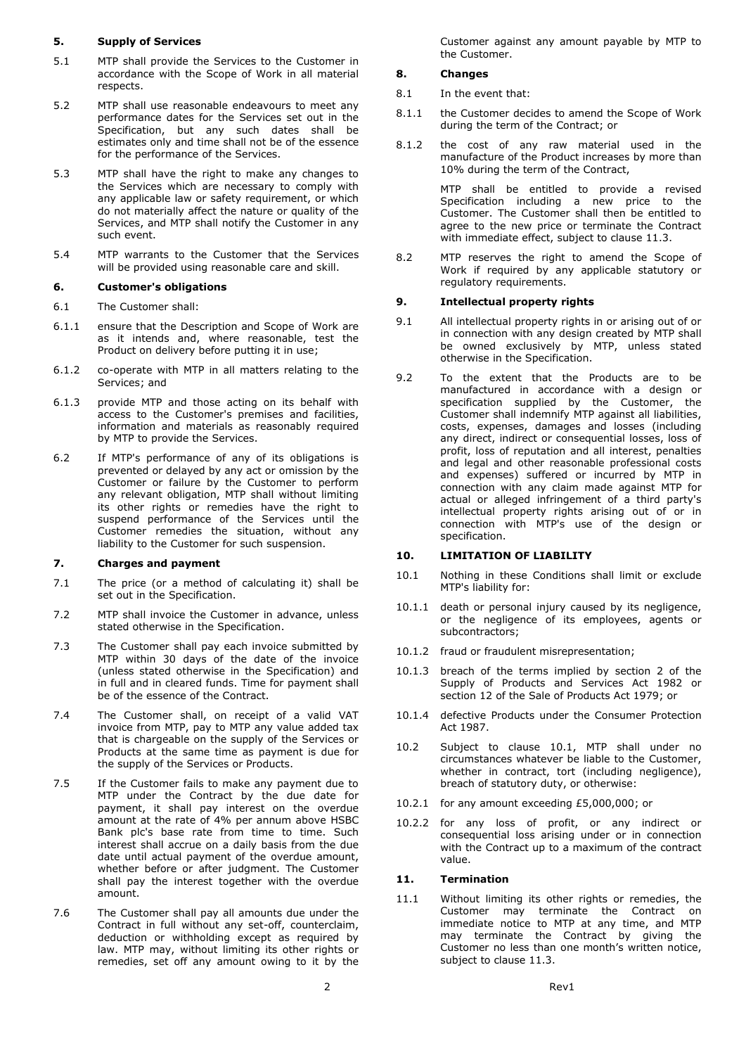## **5. Supply of Services**

- 5.1 MTP shall provide the Services to the Customer in accordance with the Scope of Work in all material respects.
- 5.2 MTP shall use reasonable endeavours to meet any performance dates for the Services set out in the Specification, but any such dates shall be estimates only and time shall not be of the essence for the performance of the Services.
- 5.3 MTP shall have the right to make any changes to the Services which are necessary to comply with any applicable law or safety requirement, or which do not materially affect the nature or quality of the Services, and MTP shall notify the Customer in any such event.
- 5.4 MTP warrants to the Customer that the Services will be provided using reasonable care and skill.

# **6. Customer's obligations**

- 6.1 The Customer shall:
- 6.1.1 ensure that the Description and Scope of Work are as it intends and, where reasonable, test the Product on delivery before putting it in use;
- 6.1.2 co-operate with MTP in all matters relating to the Services; and
- 6.1.3 provide MTP and those acting on its behalf with access to the Customer's premises and facilities, information and materials as reasonably required by MTP to provide the Services.
- 6.2 If MTP's performance of any of its obligations is prevented or delayed by any act or omission by the Customer or failure by the Customer to perform any relevant obligation, MTP shall without limiting its other rights or remedies have the right to suspend performance of the Services until the Customer remedies the situation, without any liability to the Customer for such suspension.

## **7. Charges and payment**

- 7.1 The price (or a method of calculating it) shall be set out in the Specification.
- 7.2 MTP shall invoice the Customer in advance, unless stated otherwise in the Specification.
- 7.3 The Customer shall pay each invoice submitted by MTP within 30 days of the date of the invoice (unless stated otherwise in the Specification) and in full and in cleared funds. Time for payment shall be of the essence of the Contract.
- 7.4 The Customer shall, on receipt of a valid VAT invoice from MTP, pay to MTP any value added tax that is chargeable on the supply of the Services or Products at the same time as payment is due for the supply of the Services or Products.
- 7.5 If the Customer fails to make any payment due to MTP under the Contract by the due date for payment, it shall pay interest on the overdue amount at the rate of 4% per annum above HSBC Bank plc's base rate from time to time. Such interest shall accrue on a daily basis from the due date until actual payment of the overdue amount, whether before or after judgment. The Customer shall pay the interest together with the overdue amount.
- 7.6 The Customer shall pay all amounts due under the Contract in full without any set-off, counterclaim, deduction or withholding except as required by law. MTP may, without limiting its other rights or remedies, set off any amount owing to it by the

Customer against any amount payable by MTP to the Customer.

# **8. Changes**

- 8.1 In the event that:
- 8.1.1 the Customer decides to amend the Scope of Work during the term of the Contract; or
- 8.1.2 the cost of any raw material used in the manufacture of the Product increases by more than 10% during the term of the Contract,

MTP shall be entitled to provide a revised Specification including a new price to the Customer. The Customer shall then be entitled to agree to the new price or terminate the Contract with immediate effect, subject to clause [11.3.](#page-2-0)

8.2 MTP reserves the right to amend the Scope of Work if required by any applicable statutory or regulatory requirements.

#### <span id="page-1-1"></span>**9. Intellectual property rights**

- 9.1 All intellectual property rights in or arising out of or in connection with any design created by MTP shall be owned exclusively by MTP, unless stated otherwise in the Specification.
- 9.2 To the extent that the Products are to be manufactured in accordance with a design or specification supplied by the Customer, the Customer shall indemnify MTP against all liabilities, costs, expenses, damages and losses (including any direct, indirect or consequential losses, loss of profit, loss of reputation and all interest, penalties and legal and other reasonable professional costs and expenses) suffered or incurred by MTP in connection with any claim made against MTP for actual or alleged infringement of a third party's intellectual property rights arising out of or in connection with MTP's use of the design or specification.

# <span id="page-1-2"></span>**10. LIMITATION OF LIABILITY**

- <span id="page-1-0"></span>10.1 Nothing in these Conditions shall limit or exclude MTP's liability for:
- 10.1.1 death or personal injury caused by its negligence, or the negligence of its employees, agents or subcontractors;
- 10.1.2 fraud or fraudulent misrepresentation;
- 10.1.3 breach of the terms implied by section 2 of the Supply of Products and Services Act 1982 or section 12 of the Sale of Products Act 1979; or
- 10.1.4 defective Products under the Consumer Protection Act 1987.
- 10.2 Subject to clause [10.1,](#page-1-0) MTP shall under no circumstances whatever be liable to the Customer, whether in contract, tort (including negligence), breach of statutory duty, or otherwise:
- 10.2.1 for any amount exceeding £5,000,000; or
- 10.2.2 for any loss of profit, or any indirect or consequential loss arising under or in connection with the Contract up to a maximum of the contract value.

# <span id="page-1-3"></span>**11. Termination**

11.1 Without limiting its other rights or remedies, the Customer may terminate the Contract on immediate notice to MTP at any time, and MTP may terminate the Contract by giving the Customer no less than one month's written notice, subject to clause [11.3.](#page-2-0)